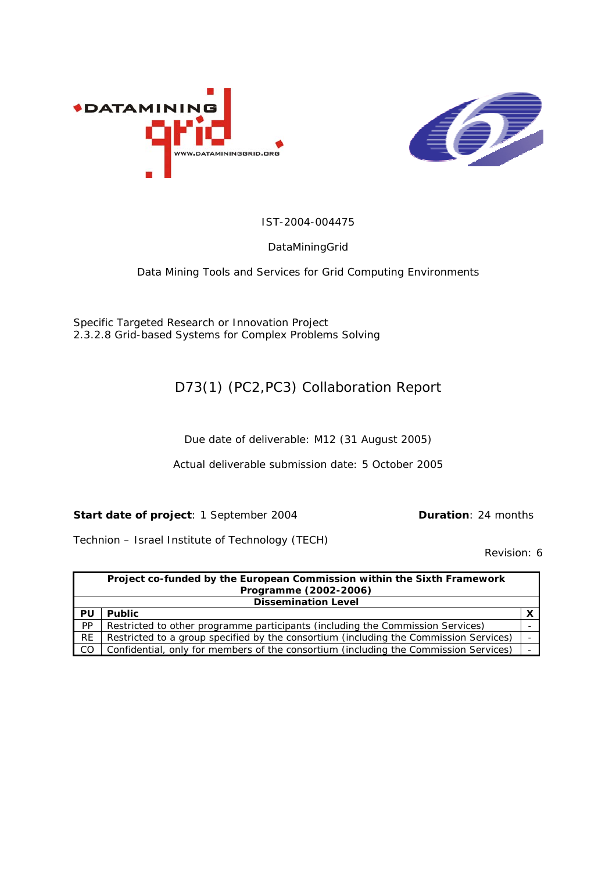



IST-2004-004475

#### DataMiningGrid

Data Mining Tools and Services for Grid Computing Environments

Specific Targeted Research or Innovation Project 2.3.2.8 Grid-based Systems for Complex Problems Solving

#### D73(1) (PC2,PC3) Collaboration Report

Due date of deliverable: M12 (31 August 2005)

Actual deliverable submission date: 5 October 2005

**Start date of project**: 1 September 2004 **Duration**: 24 months

Technion – Israel Institute of Technology (TECH)

Revision: 6

|                            | Project co-funded by the European Commission within the Sixth Framework               |  |  |  |  |  |  |
|----------------------------|---------------------------------------------------------------------------------------|--|--|--|--|--|--|
| Programme (2002-2006)      |                                                                                       |  |  |  |  |  |  |
| <b>Dissemination Level</b> |                                                                                       |  |  |  |  |  |  |
| PU                         | <b>Public</b>                                                                         |  |  |  |  |  |  |
| PP                         | Restricted to other programme participants (including the Commission Services)        |  |  |  |  |  |  |
| <b>RE</b>                  | Restricted to a group specified by the consortium (including the Commission Services) |  |  |  |  |  |  |
| - CO                       | Confidential, only for members of the consortium (including the Commission Services)  |  |  |  |  |  |  |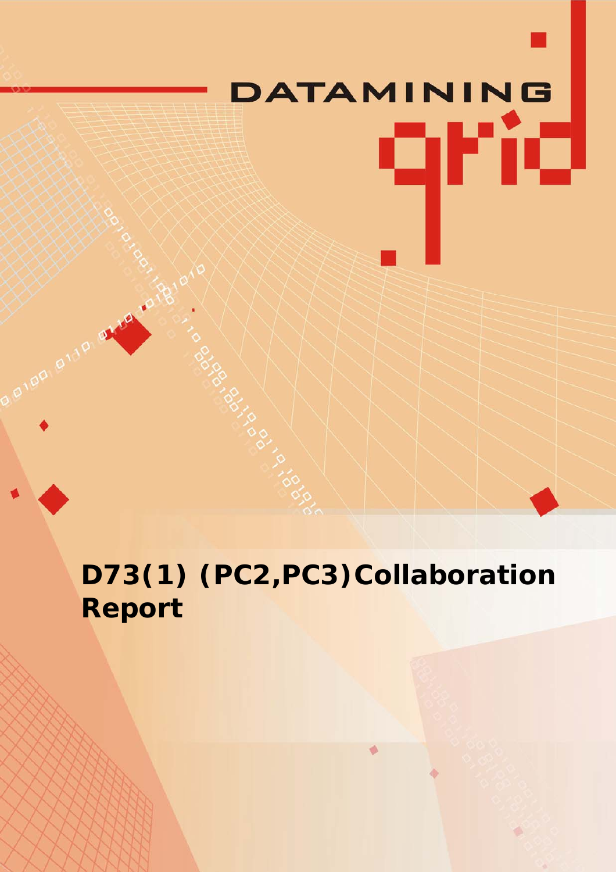# DATAMINING qrid

**D73(1) (PC2,PC3)Collaboration Report**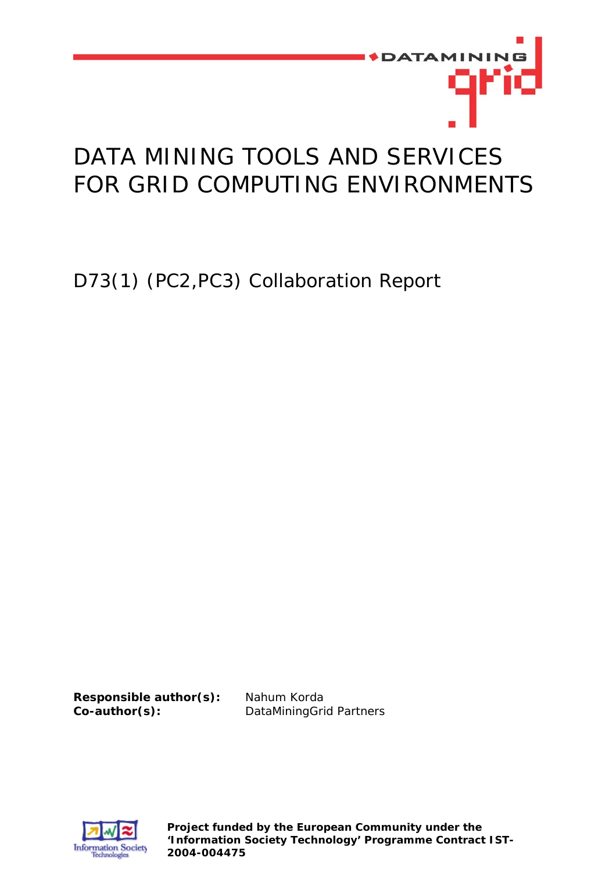

## DATA MINING TOOLS AND SERVICES FOR GRID COMPUTING ENVIRONMENTS

D73(1) (PC2,PC3) Collaboration Report

**Responsible author(s):** Nahum Korda **Co-author(s):** DataMiningGrid Partners



**Project funded by the European Community under the 'Information Society Technology' Programme Contract IST-2004-004475**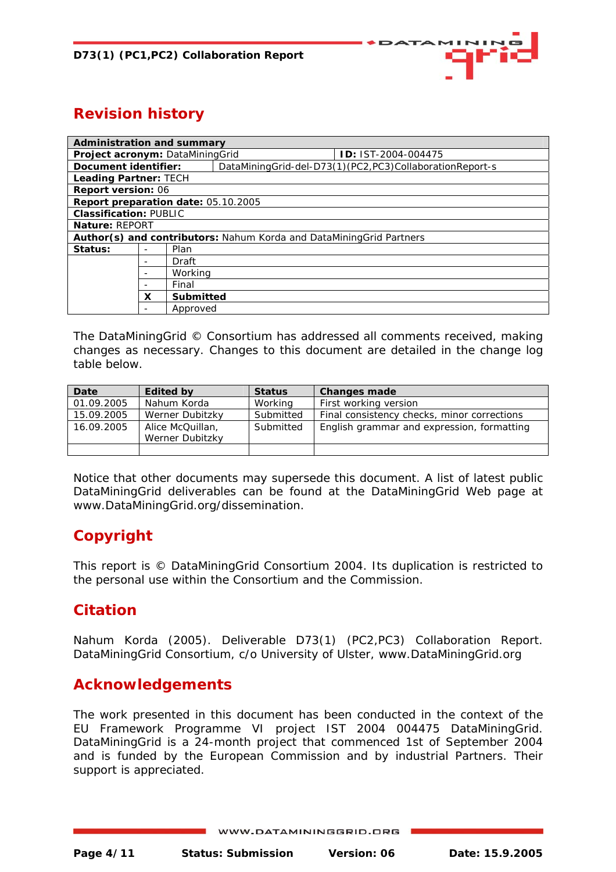

### **Revision history**

| <b>Administration and summary</b>                                   |                |          |  |                                                         |  |  |  |  |
|---------------------------------------------------------------------|----------------|----------|--|---------------------------------------------------------|--|--|--|--|
| Project acronym: DataMiningGrid                                     |                |          |  | <b>D: IST-2004-004475</b>                               |  |  |  |  |
| Document identifier:                                                |                |          |  | DataMiningGrid-del-D73(1)(PC2,PC3)CollaborationReport-s |  |  |  |  |
| <b>Leading Partner: TECH</b>                                        |                |          |  |                                                         |  |  |  |  |
| <b>Report version: 06</b>                                           |                |          |  |                                                         |  |  |  |  |
| Report preparation date: 05.10.2005                                 |                |          |  |                                                         |  |  |  |  |
| <b>Classification: PUBLIC</b>                                       |                |          |  |                                                         |  |  |  |  |
| Nature: REPORT                                                      |                |          |  |                                                         |  |  |  |  |
| Author(s) and contributors: Nahum Korda and DataMiningGrid Partners |                |          |  |                                                         |  |  |  |  |
| Status:                                                             |                | Plan     |  |                                                         |  |  |  |  |
|                                                                     |                | Draft    |  |                                                         |  |  |  |  |
|                                                                     |                | Working  |  |                                                         |  |  |  |  |
|                                                                     |                | Final    |  |                                                         |  |  |  |  |
|                                                                     | Submitted<br>x |          |  |                                                         |  |  |  |  |
|                                                                     |                | Approved |  |                                                         |  |  |  |  |

The DataMiningGrid © Consortium has addressed all comments received, making changes as necessary. Changes to this document are detailed in the change log table below.

| Date       | <b>Edited by</b> | <b>Status</b> | <b>Changes made</b>                         |
|------------|------------------|---------------|---------------------------------------------|
| 01.09.2005 | Nahum Korda      | Working       | First working version                       |
| 15.09.2005 | Werner Dubitzky  | Submitted     | Final consistency checks, minor corrections |
| 16.09.2005 | Alice McQuillan, | Submitted     | English grammar and expression, formatting  |
|            | Werner Dubitzky  |               |                                             |
|            |                  |               |                                             |

Notice that other documents may supersede this document. A list of latest *public* DataMiningGrid deliverables can be found at the DataMiningGrid Web page at [www.DataMiningGrid.org/dissemination](http://www.datamininggrid.org/dissemination).

#### **Copyright**

This report is © DataMiningGrid Consortium 2004. Its duplication is restricted to the personal use within the Consortium and the Commission.

#### **Citation**

Nahum Korda (2005). Deliverable D73(1) (PC2,PC3) Collaboration Report. DataMiningGrid Consortium, c/o University of Ulster, www.DataMiningGrid.org

#### **Acknowledgements**

The work presented in this document has been conducted in the context of the EU Framework Programme VI project IST 2004 004475 DataMiningGrid. DataMiningGrid is a 24-month project that commenced 1st of September 2004 and is funded by the European Commission and by industrial Partners. Their support is appreciated.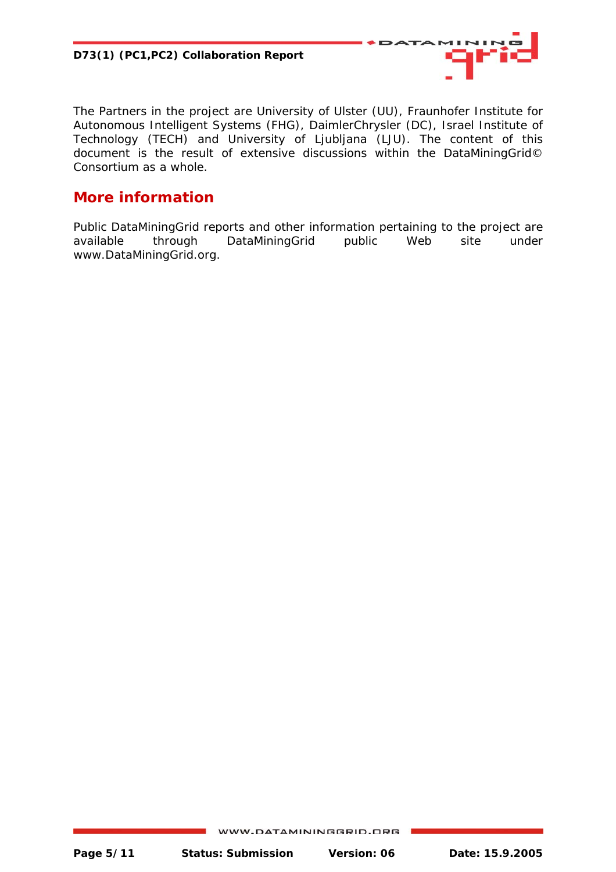

The Partners in the project are University of Ulster (UU), Fraunhofer Institute for Autonomous Intelligent Systems (FHG), DaimlerChrysler (DC), Israel Institute of Technology (TECH) and University of Ljubljana (LJU). The content of this document is the result of extensive discussions within the DataMiningGrid© Consortium as a whole.

#### **More information**

Public DataMiningGrid reports and other information pertaining to the project are available through DataMiningGrid public Web site under www.DataMiningGrid.org.

WWW.DATAMININGGRID.ORG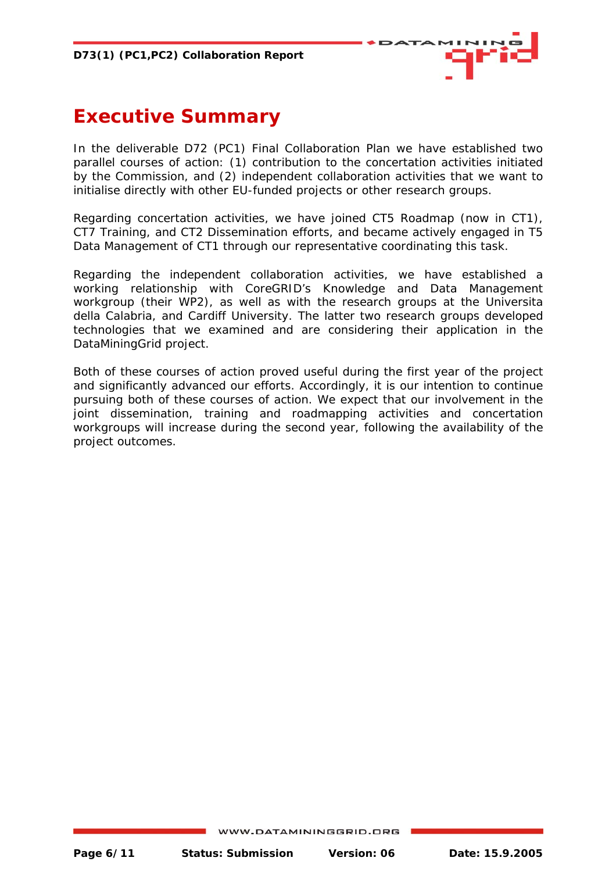

## <span id="page-5-0"></span>**Executive Summary**

In the deliverable D72 (PC1) Final Collaboration Plan we have established two parallel courses of action: (1) contribution to the concertation activities initiated by the Commission, and (2) independent collaboration activities that we want to initialise directly with other EU-funded projects or other research groups.

Regarding concertation activities, we have joined CT5 Roadmap (now in CT1), CT7 Training, and CT2 Dissemination efforts, and became actively engaged in T5 Data Management of CT1 through our representative coordinating this task.

Regarding the independent collaboration activities, we have established a working relationship with CoreGRID's *Knowledge and Data Management* workgroup (their WP2), as well as with the research groups at the Universita della Calabria, and Cardiff University. The latter two research groups developed technologies that we examined and are considering their application in the DataMiningGrid project.

Both of these courses of action proved useful during the first year of the project and significantly advanced our efforts. Accordingly, it is our intention to continue pursuing both of these courses of action. We expect that our involvement in the joint dissemination, training and roadmapping activities and concertation workgroups will increase during the second year, following the availability of the project outcomes.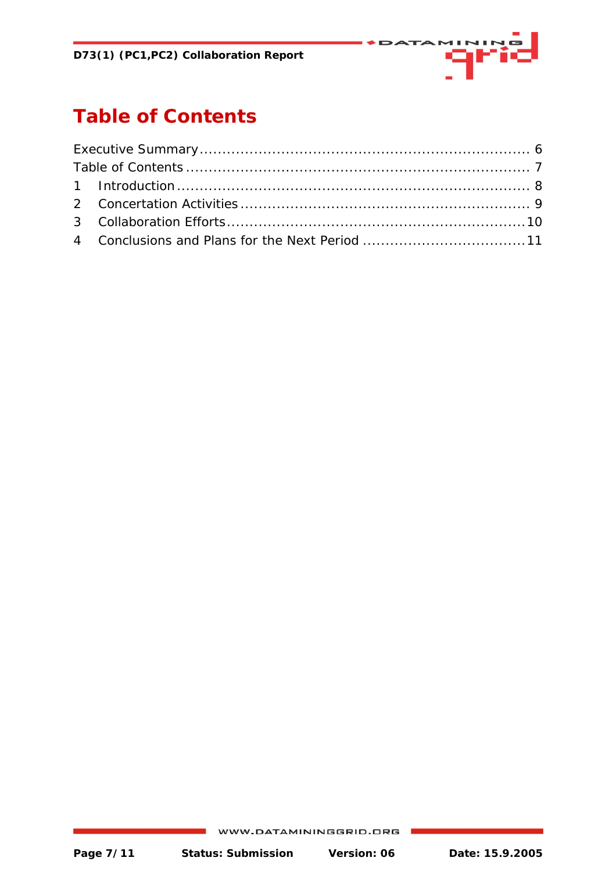

## <span id="page-6-0"></span>**Table of Contents**

WWW.DATAMININGGRID.ORG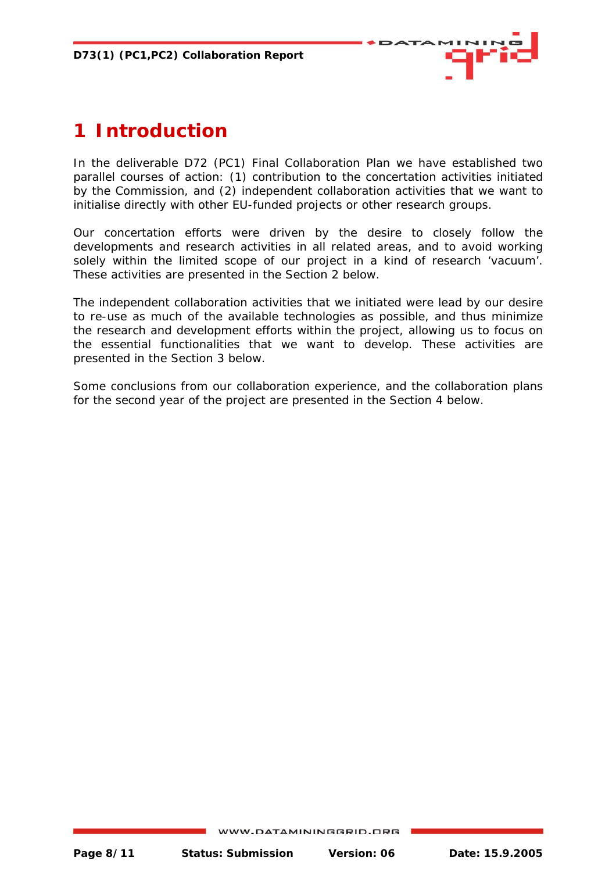

## <span id="page-7-0"></span>**1 Introduction**

In the deliverable D72 (PC1) Final Collaboration Plan we have established two parallel courses of action: (1) contribution to the concertation activities initiated by the Commission, and (2) independent collaboration activities that we want to initialise directly with other EU-funded projects or other research groups.

Our concertation efforts were driven by the desire to closely follow the developments and research activities in all related areas, and to avoid working solely within the limited scope of our project in a kind of research 'vacuum'. These activities are presented in the Section 2 below.

The independent collaboration activities that we initiated were lead by our desire to re-use as much of the available technologies as possible, and thus minimize the research and development efforts within the project, allowing us to focus on the essential functionalities that we want to develop. These activities are presented in the Section 3 below.

Some conclusions from our collaboration experience, and the collaboration plans for the second year of the project are presented in the Section 4 below.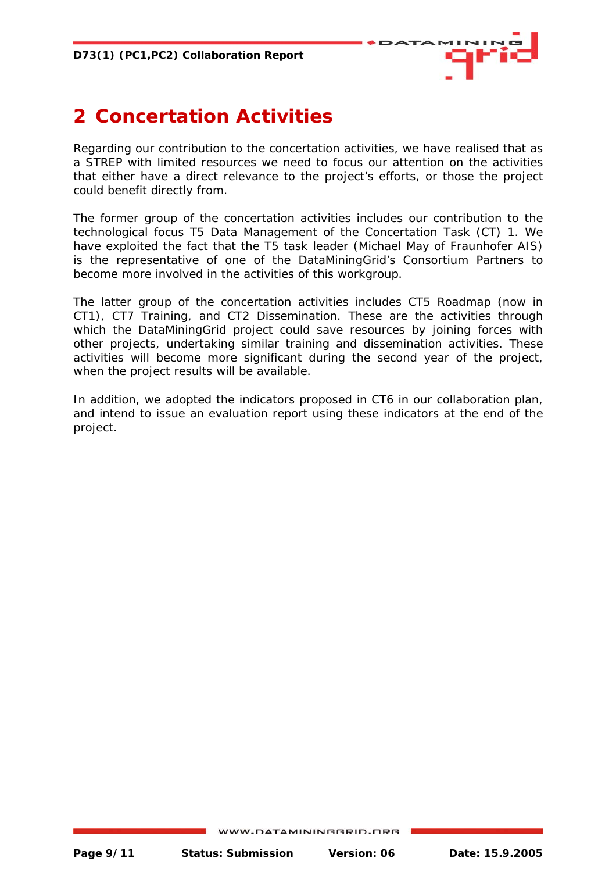

## <span id="page-8-0"></span>**2 Concertation Activities**

Regarding our contribution to the concertation activities, we have realised that as a STREP with limited resources we need to focus our attention on the activities that either have a direct relevance to the project's efforts, or those the project could benefit directly from.

The former group of the concertation activities includes our contribution to the technological focus *T5 Data Management* of the Concertation Task (CT) 1. We have exploited the fact that the T5 task leader (Michael May of Fraunhofer AIS) is the representative of one of the DataMiningGrid's Consortium Partners to become more involved in the activities of this workgroup.

The latter group of the concertation activities includes CT5 Roadmap (now in CT1), CT7 Training, and CT2 Dissemination. These are the activities through which the DataMiningGrid project could save resources by joining forces with other projects, undertaking similar training and dissemination activities. These activities will become more significant during the second year of the project, when the project results will be available.

In addition, we adopted the indicators proposed in CT6 in our collaboration plan, and intend to issue an evaluation report using these indicators at the end of the project.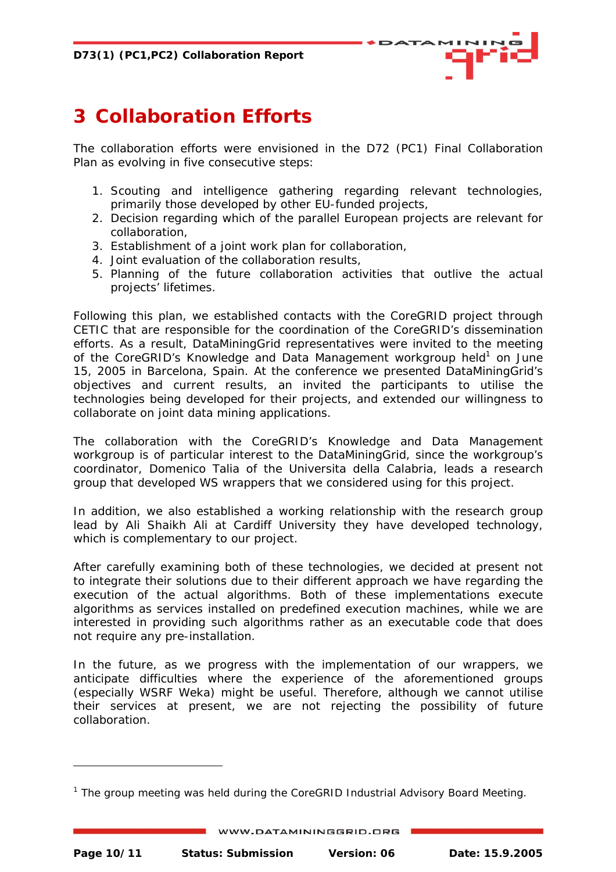<span id="page-9-0"></span>**D73(1) (PC1,PC2) Collaboration Report** 



## **3 Collaboration Efforts**

The collaboration efforts were envisioned in the D72 (PC1) Final Collaboration Plan as evolving in five consecutive steps:

- 1. Scouting and intelligence gathering regarding relevant technologies, primarily those developed by other EU-funded projects,
- 2. Decision regarding which of the parallel European projects are relevant for collaboration,
- 3. Establishment of a joint work plan for collaboration,
- 4. Joint evaluation of the collaboration results,
- 5. Planning of the future collaboration activities that outlive the actual projects' lifetimes.

Following this plan, we established contacts with the CoreGRID project through CETIC that are responsible for the coordination of the CoreGRID's dissemination efforts. As a result, DataMiningGrid representatives were invited to the meeting of the CoreGRID's Knowledge and Data Management workgroup held<sup>1</sup> on June 15, 2005 in Barcelona, Spain. At the conference we presented DataMiningGrid's objectives and current results, an invited the participants to utilise the technologies being developed for their projects, and extended our willingness to collaborate on joint data mining applications.

The collaboration with the CoreGRID's *Knowledge and Data Management* workgroup is of particular interest to the DataMiningGrid, since the workgroup's coordinator, Domenico Talia of the Universita della Calabria, leads a research group that developed WS wrappers that we considered using for this project.

In addition, we also established a working relationship with the research group lead by Ali Shaikh Ali at Cardiff University they have developed technology, which is complementary to our project.

After carefully examining both of these technologies, we decided at present not to integrate their solutions due to their different approach we have regarding the execution of the actual algorithms. Both of these implementations execute algorithms as services installed on predefined execution machines, while we are interested in providing such algorithms rather as an executable code that does not require any pre-installation.

In the future, as we progress with the implementation of our wrappers, we anticipate difficulties where the experience of the aforementioned groups (especially WSRF Weka) might be useful. Therefore, although we cannot utilise their services at present, we are not rejecting the possibility of future collaboration.

j

<sup>1</sup> The group meeting was held during the *CoreGRID Industrial Advisory Board Meeting*.